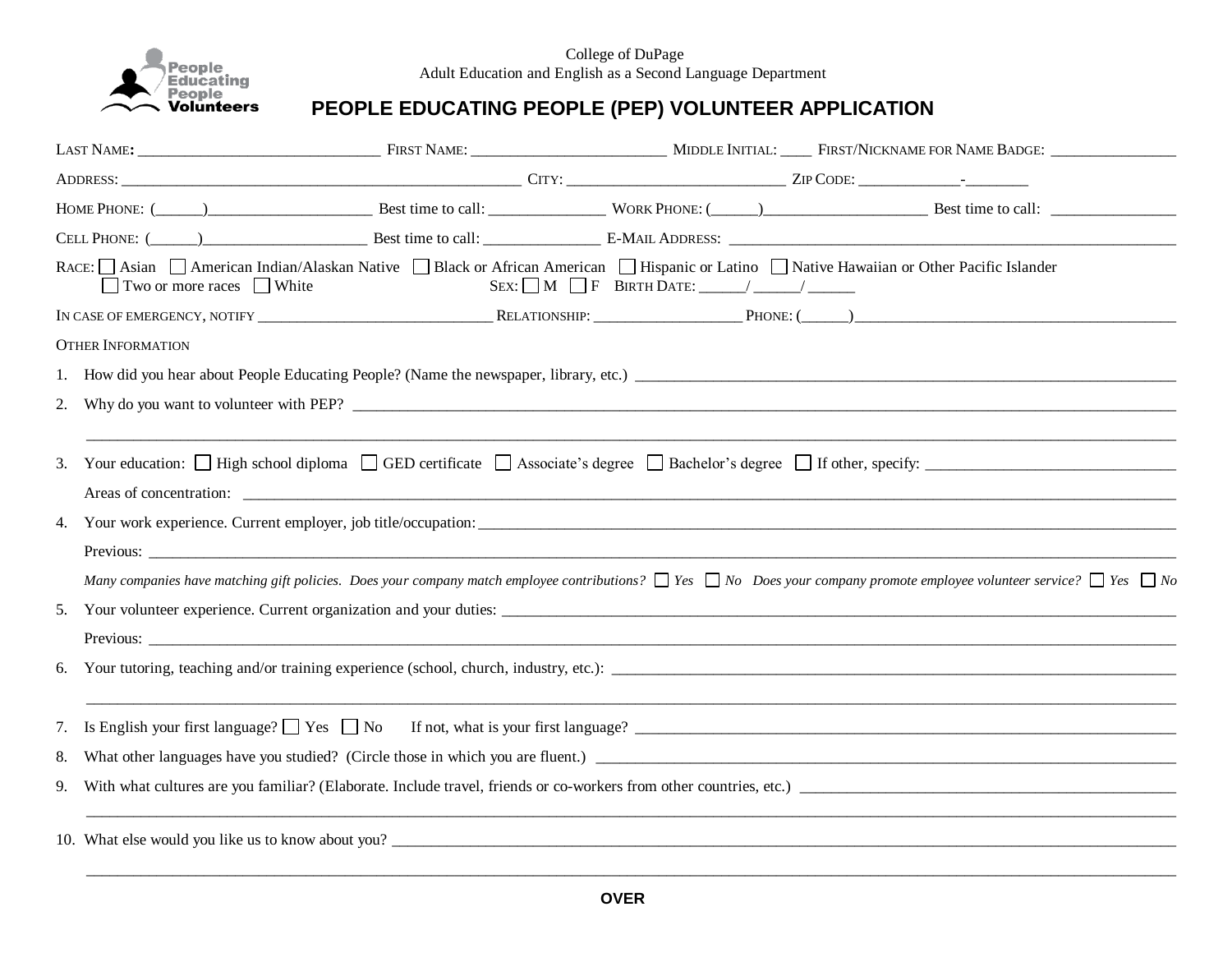

College of DuPage Adult Education and English as a Second Language Department

## **PEOPLE EDUCATING PEOPLE (PEP) VOLUNTEER APPLICATION**

| LAST NAME: FIRST NAME POR NAME POR NAME ADOE: THE PRESERVE PRESERVE AND THE PART NAME OF NAME BADGE: |                                                                                                                                                                                             |  |  |  |  |  |  |  |  |  |
|------------------------------------------------------------------------------------------------------|---------------------------------------------------------------------------------------------------------------------------------------------------------------------------------------------|--|--|--|--|--|--|--|--|--|
|                                                                                                      |                                                                                                                                                                                             |  |  |  |  |  |  |  |  |  |
|                                                                                                      |                                                                                                                                                                                             |  |  |  |  |  |  |  |  |  |
|                                                                                                      |                                                                                                                                                                                             |  |  |  |  |  |  |  |  |  |
|                                                                                                      | RACE: Asian American Indian/Alaskan Native Black or African American Hispanic or Latino Native Hawaiian or Other Pacific Islander<br>$\Box$ Two or more races $\Box$ White                  |  |  |  |  |  |  |  |  |  |
|                                                                                                      |                                                                                                                                                                                             |  |  |  |  |  |  |  |  |  |
|                                                                                                      | <b>OTHER INFORMATION</b>                                                                                                                                                                    |  |  |  |  |  |  |  |  |  |
|                                                                                                      |                                                                                                                                                                                             |  |  |  |  |  |  |  |  |  |
| 2.                                                                                                   |                                                                                                                                                                                             |  |  |  |  |  |  |  |  |  |
|                                                                                                      |                                                                                                                                                                                             |  |  |  |  |  |  |  |  |  |
| 3.                                                                                                   | Your education: High school diploma GED certificate Associate's degree Bachelor's degree If other, specify:                                                                                 |  |  |  |  |  |  |  |  |  |
|                                                                                                      |                                                                                                                                                                                             |  |  |  |  |  |  |  |  |  |
|                                                                                                      |                                                                                                                                                                                             |  |  |  |  |  |  |  |  |  |
|                                                                                                      |                                                                                                                                                                                             |  |  |  |  |  |  |  |  |  |
|                                                                                                      | Many companies have matching gift policies. Does your company match employee contributions? $\Box$ Yes $\Box$ No Does your company promote employee volunteer service? $\Box$ Yes $\Box$ No |  |  |  |  |  |  |  |  |  |
|                                                                                                      |                                                                                                                                                                                             |  |  |  |  |  |  |  |  |  |
|                                                                                                      |                                                                                                                                                                                             |  |  |  |  |  |  |  |  |  |
| 6.                                                                                                   |                                                                                                                                                                                             |  |  |  |  |  |  |  |  |  |
|                                                                                                      |                                                                                                                                                                                             |  |  |  |  |  |  |  |  |  |
|                                                                                                      | 7. Is English your first language? T Yes T No If not, what is your first language? The Commission Commission of the U Yes T No If not, what is your first language?                         |  |  |  |  |  |  |  |  |  |
| 8.                                                                                                   | What other languages have you studied? (Circle those in which you are fluent.)                                                                                                              |  |  |  |  |  |  |  |  |  |
| 9.                                                                                                   | With what cultures are you familiar? (Elaborate. Include travel, friends or co-workers from other countries, etc.)                                                                          |  |  |  |  |  |  |  |  |  |
|                                                                                                      |                                                                                                                                                                                             |  |  |  |  |  |  |  |  |  |
|                                                                                                      | 10. What else would you like us to know about you?                                                                                                                                          |  |  |  |  |  |  |  |  |  |
|                                                                                                      |                                                                                                                                                                                             |  |  |  |  |  |  |  |  |  |